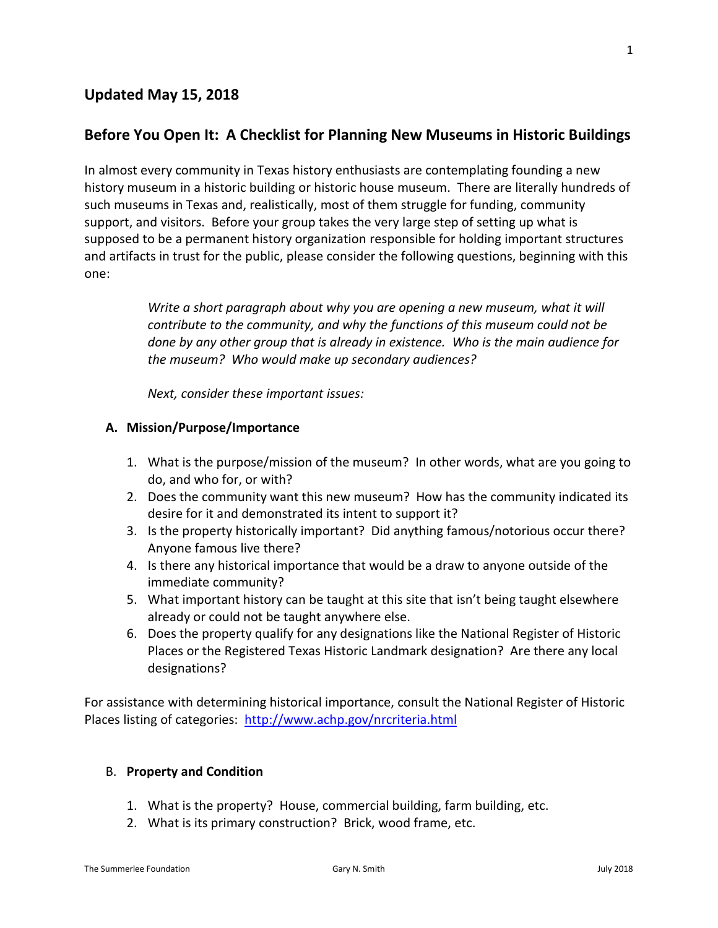### **Updated May 15, 2018**

### **Before You Open It: A Checklist for Planning New Museums in Historic Buildings**

In almost every community in Texas history enthusiasts are contemplating founding a new history museum in a historic building or historic house museum. There are literally hundreds of such museums in Texas and, realistically, most of them struggle for funding, community support, and visitors. Before your group takes the very large step of setting up what is supposed to be a permanent history organization responsible for holding important structures and artifacts in trust for the public, please consider the following questions, beginning with this one:

> *Write a short paragraph about why you are opening a new museum, what it will contribute to the community, and why the functions of this museum could not be done by any other group that is already in existence. Who is the main audience for the museum? Who would make up secondary audiences?*

*Next, consider these important issues:*

#### **A. Mission/Purpose/Importance**

- 1. What is the purpose/mission of the museum? In other words, what are you going to do, and who for, or with?
- 2. Does the community want this new museum? How has the community indicated its desire for it and demonstrated its intent to support it?
- 3. Is the property historically important? Did anything famous/notorious occur there? Anyone famous live there?
- 4. Is there any historical importance that would be a draw to anyone outside of the immediate community?
- 5. What important history can be taught at this site that isn't being taught elsewhere already or could not be taught anywhere else.
- 6. Does the property qualify for any designations like the National Register of Historic Places or the Registered Texas Historic Landmark designation? Are there any local designations?

For assistance with determining historical importance, consult the National Register of Historic Places listing of categories: <http://www.achp.gov/nrcriteria.html>

#### B. **Property and Condition**

- 1. What is the property? House, commercial building, farm building, etc.
- 2. What is its primary construction? Brick, wood frame, etc.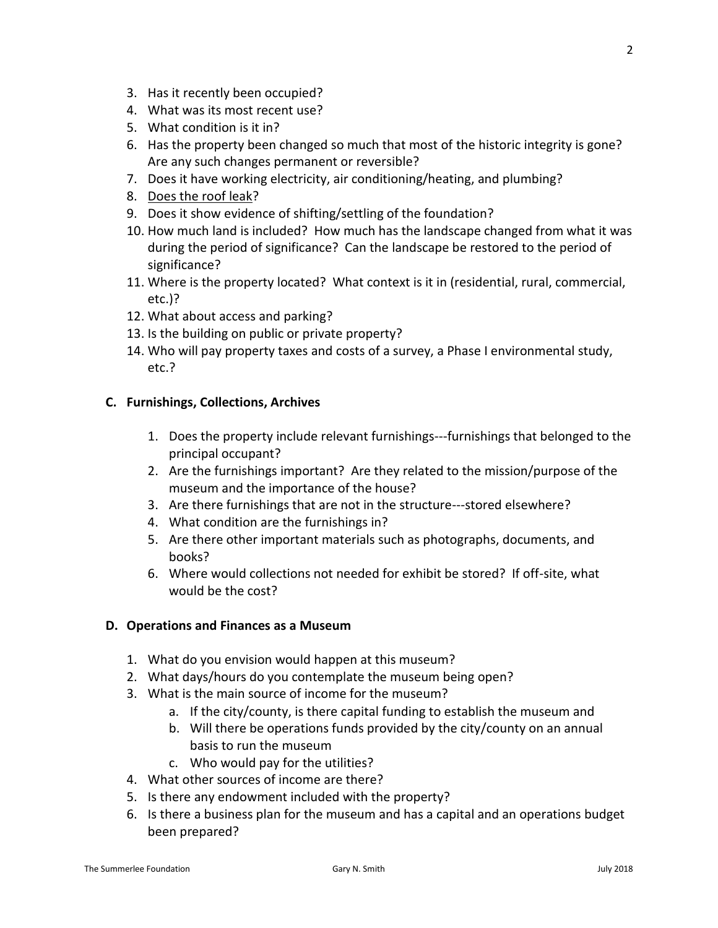- 3. Has it recently been occupied?
- 4. What was its most recent use?
- 5. What condition is it in?
- 6. Has the property been changed so much that most of the historic integrity is gone? Are any such changes permanent or reversible?
- 7. Does it have working electricity, air conditioning/heating, and plumbing?
- 8. Does the roof leak?
- 9. Does it show evidence of shifting/settling of the foundation?
- 10. How much land is included? How much has the landscape changed from what it was during the period of significance? Can the landscape be restored to the period of significance?
- 11. Where is the property located? What context is it in (residential, rural, commercial, etc.)?
- 12. What about access and parking?
- 13. Is the building on public or private property?
- 14. Who will pay property taxes and costs of a survey, a Phase I environmental study, etc.?

# **C. Furnishings, Collections, Archives**

- 1. Does the property include relevant furnishings---furnishings that belonged to the principal occupant?
- 2. Are the furnishings important? Are they related to the mission/purpose of the museum and the importance of the house?
- 3. Are there furnishings that are not in the structure---stored elsewhere?
- 4. What condition are the furnishings in?
- 5. Are there other important materials such as photographs, documents, and books?
- 6. Where would collections not needed for exhibit be stored? If off-site, what would be the cost?

# **D. Operations and Finances as a Museum**

- 1. What do you envision would happen at this museum?
- 2. What days/hours do you contemplate the museum being open?
- 3. What is the main source of income for the museum?
	- a. If the city/county, is there capital funding to establish the museum and
	- b. Will there be operations funds provided by the city/county on an annual basis to run the museum
	- c. Who would pay for the utilities?
- 4. What other sources of income are there?
- 5. Is there any endowment included with the property?
- 6. Is there a business plan for the museum and has a capital and an operations budget been prepared?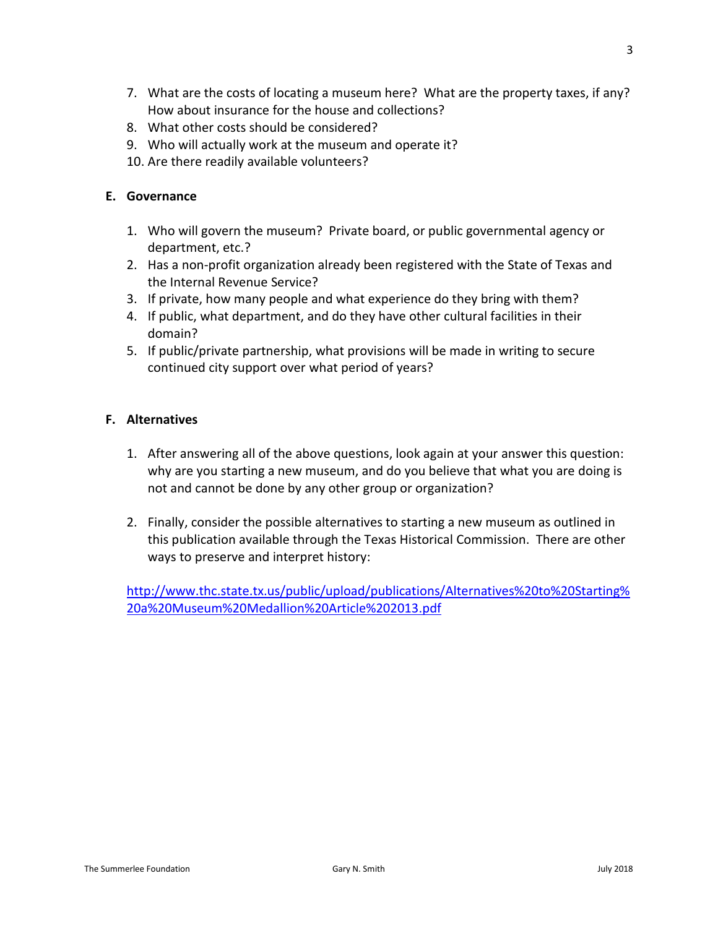- 7. What are the costs of locating a museum here? What are the property taxes, if any? How about insurance for the house and collections?
- 8. What other costs should be considered?
- 9. Who will actually work at the museum and operate it?
- 10. Are there readily available volunteers?

## **E. Governance**

- 1. Who will govern the museum? Private board, or public governmental agency or department, etc.?
- 2. Has a non-profit organization already been registered with the State of Texas and the Internal Revenue Service?
- 3. If private, how many people and what experience do they bring with them?
- 4. If public, what department, and do they have other cultural facilities in their domain?
- 5. If public/private partnership, what provisions will be made in writing to secure continued city support over what period of years?

## **F. Alternatives**

- 1. After answering all of the above questions, look again at your answer this question: why are you starting a new museum, and do you believe that what you are doing is not and cannot be done by any other group or organization?
- 2. Finally, consider the possible alternatives to starting a new museum as outlined in this publication available through the Texas Historical Commission. There are other ways to preserve and interpret history:

[http://www.thc.state.tx.us/public/upload/publications/Alternatives%20to%20Starting%](http://www.thc.state.tx.us/public/upload/publications/Alternatives%20to%20Starting%20a%20Museum%20Medallion%20Article%202013.pdf) [20a%20Museum%20Medallion%20Article%202013.pdf](http://www.thc.state.tx.us/public/upload/publications/Alternatives%20to%20Starting%20a%20Museum%20Medallion%20Article%202013.pdf)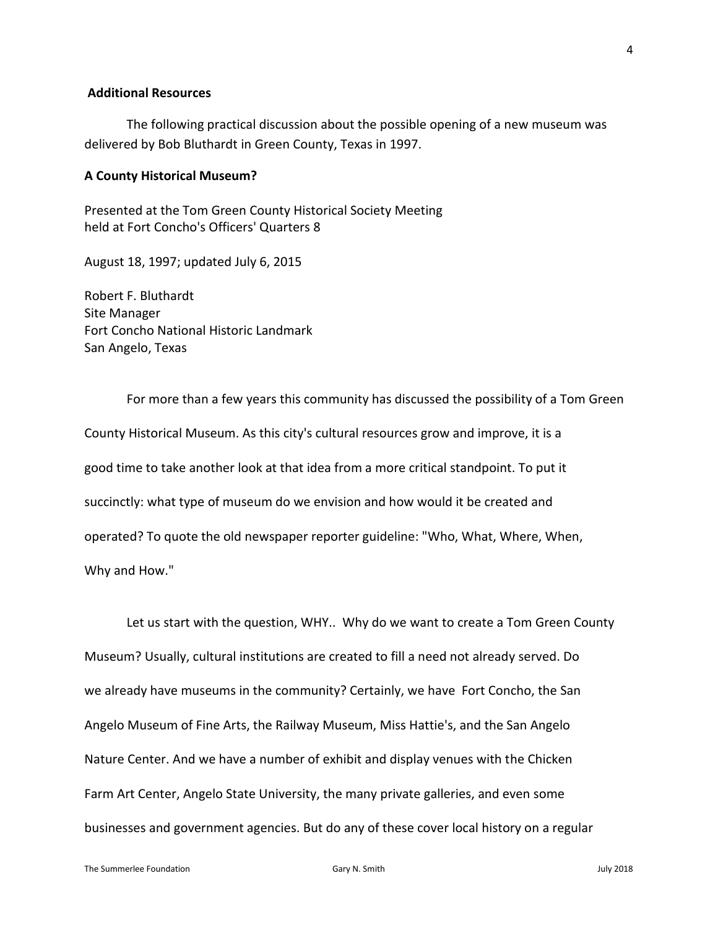#### **Additional Resources**

The following practical discussion about the possible opening of a new museum was delivered by Bob Bluthardt in Green County, Texas in 1997.

#### **A County Historical Museum?**

Presented at the Tom Green County Historical Society Meeting held at Fort Concho's Officers' Quarters 8

August 18, 1997; updated July 6, 2015

Robert F. Bluthardt Site Manager Fort Concho National Historic Landmark San Angelo, Texas

For more than a few years this community has discussed the possibility of a Tom Green County Historical Museum. As this city's cultural resources grow and improve, it is a good time to take another look at that idea from a more critical standpoint. To put it succinctly: what type of museum do we envision and how would it be created and operated? To quote the old newspaper reporter guideline: "Who, What, Where, When, Why and How."

Let us start with the question, WHY.. Why do we want to create a Tom Green County Museum? Usually, cultural institutions are created to fill a need not already served. Do we already have museums in the community? Certainly, we have Fort Concho, the San Angelo Museum of Fine Arts, the Railway Museum, Miss Hattie's, and the San Angelo Nature Center. And we have a number of exhibit and display venues with the Chicken Farm Art Center, Angelo State University, the many private galleries, and even some businesses and government agencies. But do any of these cover local history on a regular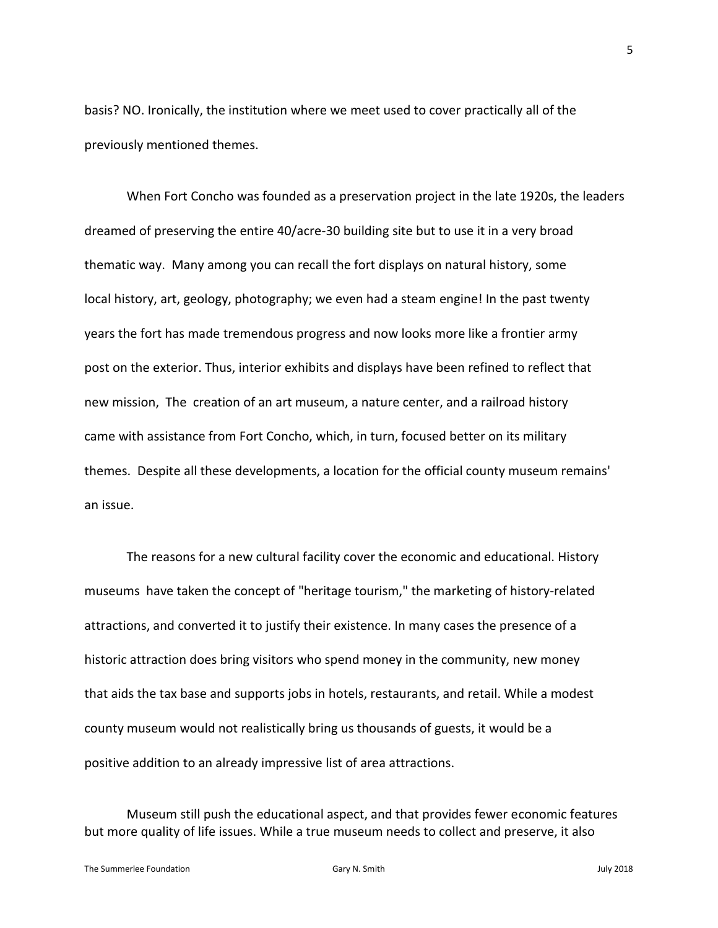basis? NO. Ironically, the institution where we meet used to cover practically all of the previously mentioned themes.

When Fort Concho was founded as a preservation project in the late 1920s, the leaders dreamed of preserving the entire 40/acre-30 building site but to use it in a very broad thematic way. Many among you can recall the fort displays on natural history, some local history, art, geology, photography; we even had a steam engine! In the past twenty years the fort has made tremendous progress and now looks more like a frontier army post on the exterior. Thus, interior exhibits and displays have been refined to reflect that new mission, The creation of an art museum, a nature center, and a railroad history came with assistance from Fort Concho, which, in turn, focused better on its military themes. Despite all these developments, a location for the official county museum remains' an issue.

The reasons for a new cultural facility cover the economic and educational. History museums have taken the concept of "heritage tourism," the marketing of history-related attractions, and converted it to justify their existence. In many cases the presence of a historic attraction does bring visitors who spend money in the community, new money that aids the tax base and supports jobs in hotels, restaurants, and retail. While a modest county museum would not realistically bring us thousands of guests, it would be a positive addition to an already impressive list of area attractions.

Museum still push the educational aspect, and that provides fewer economic features but more quality of life issues. While a true museum needs to collect and preserve, it also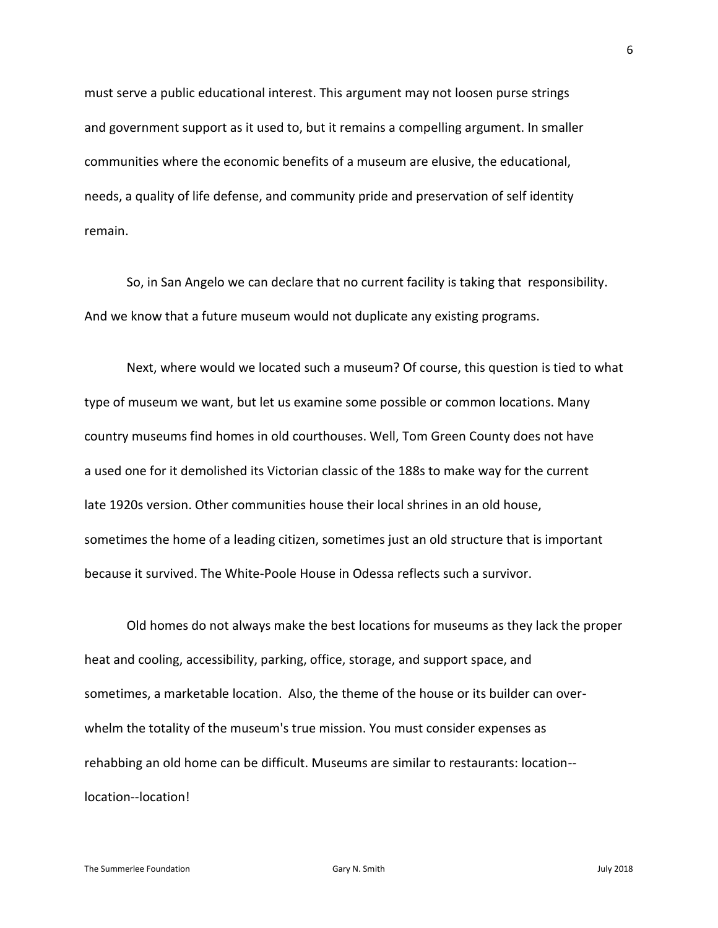must serve a public educational interest. This argument may not loosen purse strings and government support as it used to, but it remains a compelling argument. In smaller communities where the economic benefits of a museum are elusive, the educational, needs, a quality of life defense, and community pride and preservation of self identity remain.

So, in San Angelo we can declare that no current facility is taking that responsibility. And we know that a future museum would not duplicate any existing programs.

Next, where would we located such a museum? Of course, this question is tied to what type of museum we want, but let us examine some possible or common locations. Many country museums find homes in old courthouses. Well, Tom Green County does not have a used one for it demolished its Victorian classic of the 188s to make way for the current late 1920s version. Other communities house their local shrines in an old house, sometimes the home of a leading citizen, sometimes just an old structure that is important because it survived. The White-Poole House in Odessa reflects such a survivor.

Old homes do not always make the best locations for museums as they lack the proper heat and cooling, accessibility, parking, office, storage, and support space, and sometimes, a marketable location. Also, the theme of the house or its builder can overwhelm the totality of the museum's true mission. You must consider expenses as rehabbing an old home can be difficult. Museums are similar to restaurants: location- location--location!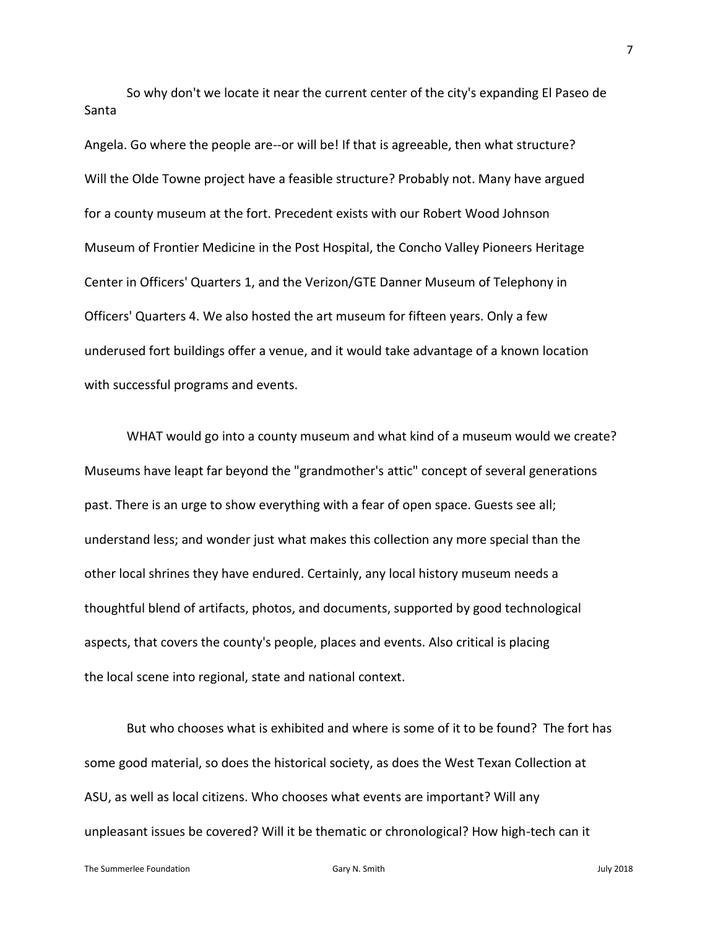So why don't we locate it near the current center of the city's expanding El Paseo de Santa

Angela. Go where the people are--or will be! If that is agreeable, then what structure? Will the Olde Towne project have a feasible structure? Probably not. Many have argued for a county museum at the fort. Precedent exists with our Robert Wood Johnson Museum of Frontier Medicine in the Post Hospital, the Concho Valley Pioneers Heritage Center in Officers' Quarters 1, and the Verizon/GTE Danner Museum of Telephony in Officers' Quarters 4. We also hosted the art museum for fifteen years. Only a few underused fort buildings offer a venue, and it would take advantage of a known location with successful programs and events.

WHAT would go into a county museum and what kind of a museum would we create? Museums have leapt far beyond the "grandmother's attic" concept of several generations past. There is an urge to show everything with a fear of open space. Guests see all; understand less; and wonder just what makes this collection any more special than the other local shrines they have endured. Certainly, any local history museum needs a thoughtful blend of artifacts, photos, and documents, supported by good technological aspects, that covers the county's people, places and events. Also critical is placing the local scene into regional, state and national context.

But who chooses what is exhibited and where is some of it to be found? The fort has some good material, so does the historical society, as does the West Texan Collection at ASU, as well as local citizens. Who chooses what events are important? Will any unpleasant issues be covered? Will it be thematic or chronological? How high-tech can it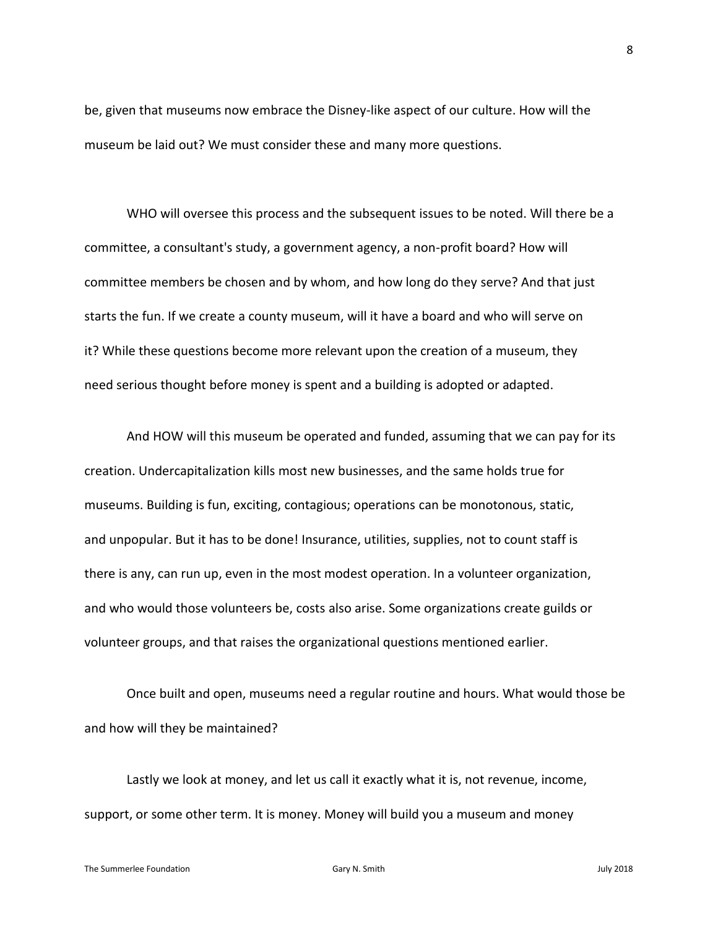be, given that museums now embrace the Disney-like aspect of our culture. How will the museum be laid out? We must consider these and many more questions.

WHO will oversee this process and the subsequent issues to be noted. Will there be a committee, a consultant's study, a government agency, a non-profit board? How will committee members be chosen and by whom, and how long do they serve? And that just starts the fun. If we create a county museum, will it have a board and who will serve on it? While these questions become more relevant upon the creation of a museum, they need serious thought before money is spent and a building is adopted or adapted.

And HOW will this museum be operated and funded, assuming that we can pay for its creation. Undercapitalization kills most new businesses, and the same holds true for museums. Building is fun, exciting, contagious; operations can be monotonous, static, and unpopular. But it has to be done! Insurance, utilities, supplies, not to count staff is there is any, can run up, even in the most modest operation. In a volunteer organization, and who would those volunteers be, costs also arise. Some organizations create guilds or volunteer groups, and that raises the organizational questions mentioned earlier.

Once built and open, museums need a regular routine and hours. What would those be and how will they be maintained?

Lastly we look at money, and let us call it exactly what it is, not revenue, income, support, or some other term. It is money. Money will build you a museum and money